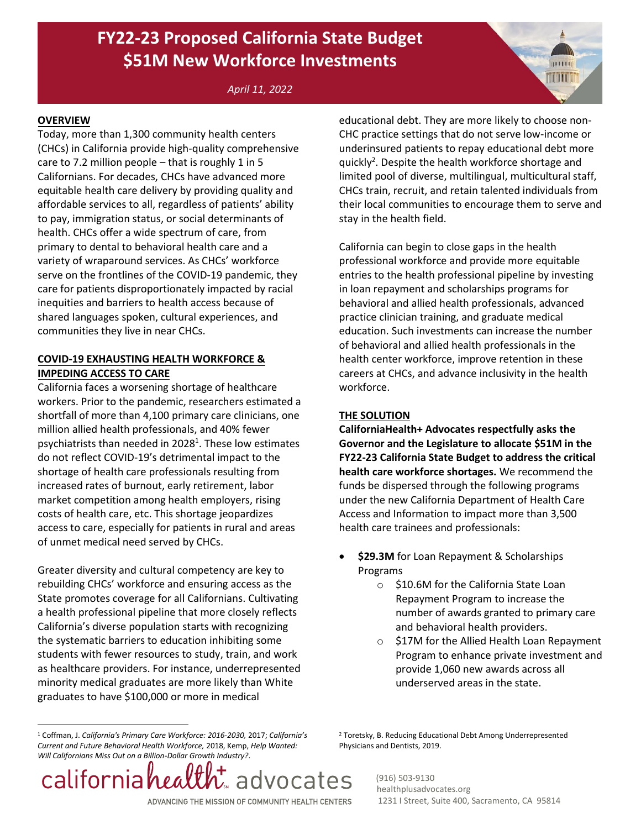## **FY22-23 Proposed California State Budget \$51M New Workforce Investments**

*April 11, 2022* 

#### **OVERVIEW**

Today, more than 1,300 community health centers (CHCs) in California provide high-quality comprehensive care to 7.2 million people - that is roughly 1 in 5 Californians. For decades, CHCs have advanced more equitable health care delivery by providing quality and affordable services to all, regardless of patients' ability to pay, immigration status, or social determinants of health. CHCs offer a wide spectrum of care, from primary to dental to behavioral health care and a variety of wraparound services. As CHCs' workforce serve on the frontlines of the COVID-19 pandemic, they care for patients disproportionately impacted by racial inequities and barriers to health access because of shared languages spoken, cultural experiences, and communities they live in near CHCs.

#### **COVID-19 EXHAUSTING HEALTH WORKFORCE & IMPEDING ACCESS TO CARE**

California faces a worsening shortage of healthcare workers. Prior to the pandemic, researchers estimated a shortfall of more than 4,100 primary care clinicians, one million allied health professionals, and 40% fewer psychiatrists than needed in 2028<sup>1</sup>. These low estimates do not reflect COVID-19's detrimental impact to the shortage of health care professionals resulting from increased rates of burnout, early retirement, labor market competition among health employers, rising costs of health care, etc. This shortage jeopardizes access to care, especially for patients in rural and areas of unmet medical need served by CHCs.

Greater diversity and cultural competency are key to rebuilding CHCs' workforce and ensuring access as the State promotes coverage for all Californians. Cultivating a health professional pipeline that more closely reflects California's diverse population starts with recognizing the systematic barriers to education inhibiting some students with fewer resources to study, train, and work as healthcare providers. For instance, underrepresented minority medical graduates are more likely than White graduates to have \$100,000 or more in medical

educational debt. They are more likely to choose non-CHC practice settings that do not serve low-income or underinsured patients to repay educational debt more quickly<sup>2</sup>. Despite the health workforce shortage and limited pool of diverse, multilingual, multicultural staff, CHCs train, recruit, and retain talented individuals from their local communities to encourage them to serve and stay in the health field.

**ANDRUA** 

California can begin to close gaps in the health professional workforce and provide more equitable entries to the health professional pipeline by investing in loan repayment and scholarships programs for behavioral and allied health professionals, advanced practice clinician training, and graduate medical education. Such investments can increase the number of behavioral and allied health professionals in the health center workforce, improve retention in these careers at CHCs, and advance inclusivity in the health workforce.

#### **THE SOLUTION**

**CaliforniaHealth+ Advocates respectfully asks the Governor and the Legislature to allocate \$51M in the FY22-23 California State Budget to address the critical health care workforce shortages.** We recommend the funds be dispersed through the following programs under the new California Department of Health Care Access and Information to impact more than 3,500 health care trainees and professionals:

- **\$29.3M** for Loan Repayment & Scholarships Programs
	- o \$10.6M for the California State Loan Repayment Program to increase the number of awards granted to primary care and behavioral health providers.
	- o \$17M for the Allied Health Loan Repayment Program to enhance private investment and provide 1,060 new awards across all underserved areas in the state.

<sup>1</sup> Coffman, J. *California's Primary Care Workforce: 2016-2030,* 2017; *California's Current and Future Behavioral Health Workforce,* 2018, Kemp, *Help Wanted: Will Californians Miss Out on a Billion-Dollar Growth Industry?*.

californiahea  $\mathcal{L}$  advocates ADVANCING THE MISSION OF COMMUNITY HEALTH CENTERS

<sup>2</sup> Toretsky, B. Reducing Educational Debt Among Underrepresented Physicians and Dentists, 2019.